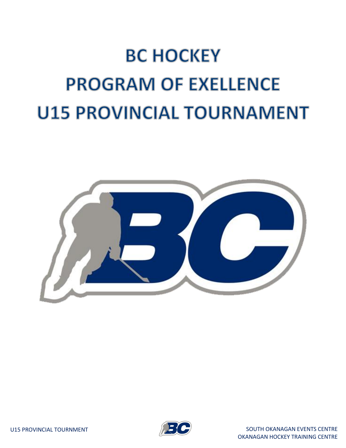## **BC HOCKEY PROGRAM OF EXELLENCE U15 PROVINCIAL TOURNAMENT**



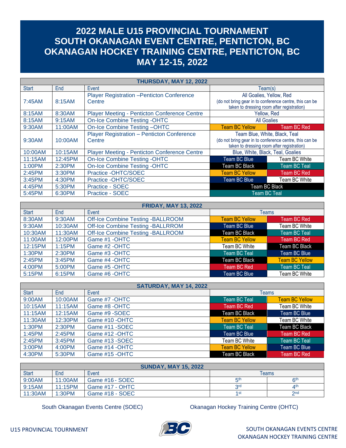## **2022 MALE U15 PROVINCIAL TOURNAMENT SOUTH OKANAGAN EVENT CENTRE, PENTICTON, BC OKANAGAN HOCKEY TRAINING CENTRE, PENTICTON, BC MAY 12-15, 2022**

| THURSDAY, MAY 12, 2022 |         |                                                             |                                                                                                                                        |                     |  |  |
|------------------------|---------|-------------------------------------------------------------|----------------------------------------------------------------------------------------------------------------------------------------|---------------------|--|--|
| <b>Start</b>           | End     | Event                                                       | Team(s)                                                                                                                                |                     |  |  |
| 7:45AM                 | 8:15AM  | <b>Player Registration - Penticton Conference</b><br>Centre | All Goalies, Yellow, Red<br>(do not bring gear in to conference centre, this can be<br>taken to dressing room after registration)      |                     |  |  |
| 8:15AM                 | 8:30AM  | <b>Player Meeting - Penticton Conference Centre</b>         | Yellow, Red                                                                                                                            |                     |  |  |
| 8:15AM                 | 9:15AM  | <b>On-Ice Combine Testing -OHTC</b>                         | <b>All Goalies</b>                                                                                                                     |                     |  |  |
| 9:30AM                 | 11:00AM | On-Ice Combine Testing-OHTC                                 | <b>Team BC Yellow</b>                                                                                                                  | Team BC Red         |  |  |
| 9:30AM                 | 10:00AM | <b>Player Registration - Penticton Conference</b><br>Centre | Team Blue, White, Black, Teal<br>(do not bring gear in to conference centre, this can be<br>taken to dressing room after registration) |                     |  |  |
| 10:00AM                | 10:15AM | <b>Player Meeting - Penticton Conference Centre</b>         | Blue, White, Black, Teal, Goalies                                                                                                      |                     |  |  |
| 11:15AM                | 12:45PM | <b>On-Ice Combine Testing -OHTC</b>                         | Team BC Blue                                                                                                                           | Team BC White       |  |  |
| 1:00PM                 | 2:30PM  | On-Ice Combine Testing -OHTC                                | Team BC Black                                                                                                                          | <b>Team BC Teal</b> |  |  |
| 2:45PM                 | 3:30PM  | Practice -OHTC/SOEC                                         | <b>Team BC Yellow</b>                                                                                                                  | <b>Team BC Red</b>  |  |  |
| $3:45$ PM              | 4:30PM  | Practice -OHTC/SOEC                                         | Team BC Blue                                                                                                                           | Team BC White       |  |  |
| 4:45PM                 | 5:30PM  | Practice - SOEC                                             | Team BC Black                                                                                                                          |                     |  |  |
| 5:45PM                 | 6:30PM  | Practice - SOEC                                             | <b>Team BC Teal</b>                                                                                                                    |                     |  |  |

| <b>FRIDAY, MAY 13, 2022</b> |           |                                          |                       |                       |  |  |
|-----------------------------|-----------|------------------------------------------|-----------------------|-----------------------|--|--|
| <b>Start</b>                | End       | Event<br><b>Teams</b>                    |                       |                       |  |  |
| 8:30AM                      | 9:30AM    | <b>Off-Ice Combine Testing -BALLROOM</b> | <b>Team BC Yellow</b> | Team BC Red           |  |  |
| 9:30AM                      | 10:30AM   | <b>Off-Ice Combine Testing -BALLRROM</b> | Team BC Blue          | Team BC White         |  |  |
| 10:30AM                     | 11:30AM   | <b>Off-Ice Combine Testing -BALLROOM</b> | Team BC Black         | <b>Team BC Teal</b>   |  |  |
| 11:00AM                     | 12:00PM   | Game #1 -OHTC                            | <b>Team BC Yellow</b> | Team BC Red           |  |  |
| 12:15PM                     | 1:15PM    | Game #2 -OHTC                            | Team BC White         | <b>Team BC Black</b>  |  |  |
| 1:30PM                      | 2:30PM    | Game #3 -OHTC                            | Team BC Teal          | Team BC Blue          |  |  |
| 2:45PM                      | $3:45$ PM | Game #4 -OHTC                            | Team BC Black         | <b>Team BC Yellow</b> |  |  |
| 4:00PM                      | 5:00PM    | Game #5 -OHTC                            | Team BC Red           | Team BC Teal          |  |  |
| 5:15PM                      | 6:15PM    | Game #6 -OHTC                            | Team BC Blue          | Team BC White         |  |  |

| SATURDAY, MAY 14, 2022 |           |                 |                       |                       |  |  |
|------------------------|-----------|-----------------|-----------------------|-----------------------|--|--|
| <b>Start</b>           | End       | Event           | <b>Teams</b>          |                       |  |  |
| 9:00AM                 | 10:00AM   | Game #7 -OHTC   | Team BC Teal          | <b>Team BC Yellow</b> |  |  |
| 10:15AM                | 11:15AM   | Game #8 - OHTC  | Team BC Red           | Team BC White         |  |  |
| 11:15AM                | 12:15AM   | Game #9 -SOEC   | Team BC Black         | Team BC Blue          |  |  |
| 11:30AM                | 12:30PM   | Game #10 - OHTC | <b>Team BC Yellow</b> | Team BC White         |  |  |
| 1:30PM                 | 2:30PM    | Game #11 - SOEC | Team BC Teal          | Team BC Black         |  |  |
| 1:45PM                 | 2:45PM    | Game #12 - OHTC | Team BC Blue          | Team BC Red           |  |  |
| 2:45PM                 | $3:45$ PM | Game #13 - SOEC | Team BC White         | Team BC Teal          |  |  |
| $3:00$ PM              | 4:00PM    | Game #14 - OHTC | <b>Team BC Yellow</b> | Team BC Blue          |  |  |
| 4:30PM                 | 5:30PM    | Game #15 -OHTC  | Team BC Black         | Team BC Red           |  |  |

| <b>SUNDAY, MAY 15, 2022</b> |         |                 |                 |                 |  |  |  |
|-----------------------------|---------|-----------------|-----------------|-----------------|--|--|--|
| <b>Start</b>                | End     | Event           |                 | Teams           |  |  |  |
| 9:00AM                      | 11:00AM | Game #16 - SOEC | 片               | R <sup>th</sup> |  |  |  |
| 9:15AM                      | 11:15PM | Game #17 - OHTC | 2rd             | $\Delta$ th     |  |  |  |
| 11:30AM                     | 1:30PM  | Game #18 - SOEC | 1 <sub>st</sub> | 2nd             |  |  |  |

South Okanagan Events Centre (SOEC) Okanagan Hockey Training Centre (OHTC)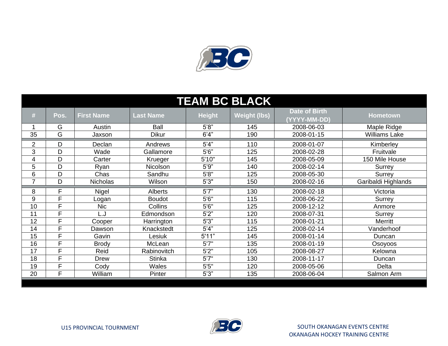

| <b>TEAM BC BLACK</b> |      |                   |                  |               |                     |                               |                      |  |
|----------------------|------|-------------------|------------------|---------------|---------------------|-------------------------------|----------------------|--|
| #                    | Pos. | <b>First Name</b> | <b>Last Name</b> | <b>Height</b> | <b>Weight (lbs)</b> | Date of Birth<br>(YYYY-MM-DD) | <b>Hometown</b>      |  |
|                      | G    | Austin            | Ball             | 5'8"          | 145                 | 2008-06-03                    | Maple Ridge          |  |
| 35                   | G    | Jaxson            | <b>Dikur</b>     | 6'4''         | 190                 | 2008-01-15                    | <b>Williams Lake</b> |  |
| 2                    | D    | Declan            | Andrews          | 5'4"          | 110                 | 2008-01-07                    | Kimberley            |  |
| 3                    | D    | Wade              | Gallamore        | 5'6''         | 125                 | 2008-02-28                    | Fruitvale            |  |
| 4                    | D    | Carter            | Krueger          | 5'10"         | 145                 | 2008-05-09                    | 150 Mile House       |  |
| 5                    | D    | Ryan              | Nicolson         | 5'9''         | 140                 | 2008-02-14                    | Surrey               |  |
| 6                    | D    | Chas              | Sandhu           | 5'8''         | 125                 | 2008-05-30                    | Surrey               |  |
| 7                    | D    | <b>Nicholas</b>   | Wilson           | 5'3''         | 150                 | 2008-02-16                    | Garibaldi Highlands  |  |
| 8                    | F    | Nigel             | <b>Alberts</b>   | 5'7''         | 130                 | 2008-02-18                    | Victoria             |  |
| 9                    | F    | Logan             | <b>Boudot</b>    | 5'6''         | 115                 | 2008-06-22                    | Surrey               |  |
| 10                   | F    | <b>Nic</b>        | Collins          | 5'6''         | 125                 | 2008-12-12                    | Anmore               |  |
| 11                   | F    | L.J               | Edmondson        | 5'2"          | 120                 | 2008-07-31                    | Surrey               |  |
| 12                   | E    | Cooper            | Harrington       | 5'3''         | 115                 | 2008-01-21                    | Merritt              |  |
| 14                   | F    | Dawson            | Knackstedt       | 5'4"          | 125                 | 2008-02-14                    | Vanderhoof           |  |
| 15                   | E    | Gavin             | Lesiuk           | 5'11"         | 145                 | 2008-01-14                    | Duncan               |  |
| 16                   | F    | <b>Brody</b>      | McLean           | 5'7''         | 135                 | 2008-01-19                    | Osoyoos              |  |
| 17                   | E    | Reid              | Rabinovitch      | 5'2''         | 105                 | 2008-08-27                    | Kelowna              |  |
| 18                   | E    | Drew              | <b>Stinka</b>    | 5'7''         | 130                 | 2008-11-17                    | Duncan               |  |
| 19                   | E    | Cody              | Wales            | 5'5''         | 120                 | 2008-05-06                    | <b>Delta</b>         |  |
| 20                   | E    | William           | Pinter           | 5'3''         | 135                 | 2008-06-04                    | Salmon Arm           |  |

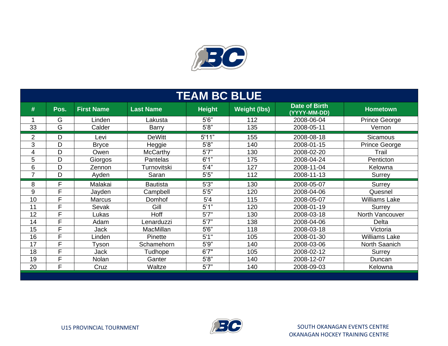

| <b>TEAM BC BLUE</b> |        |                   |                  |               |                     |                                      |                      |  |
|---------------------|--------|-------------------|------------------|---------------|---------------------|--------------------------------------|----------------------|--|
| #                   | Pos.   | <b>First Name</b> | <b>Last Name</b> | <b>Height</b> | <b>Weight (lbs)</b> | <b>Date of Birth</b><br>(YYYY-MM-DD) | <b>Hometown</b>      |  |
|                     | G      | Linden            | Lakusta          | 5'6''         | 112                 | 2008-06-04                           | <b>Prince George</b> |  |
| 33                  | G      | Calder            | <b>Barry</b>     | 5'8''         | 135                 | 2008-05-11                           | Vernon               |  |
| $\overline{2}$      | D      | Levi              | <b>DeWitt</b>    | 5'11"         | 155                 | 2008-08-18                           | <b>Sicamous</b>      |  |
| 3                   | D      | <b>Bryce</b>      | Heggie           | 5'8"          | 140                 | 2008-01-15                           | Prince George        |  |
| 4                   | D      | Owen              | <b>McCarthy</b>  | 5'7''         | 130                 | 2008-02-20                           | Trail                |  |
| 5                   | D      | Giorgos           | <b>Pantelas</b>  | 6'1"          | 175                 | 2008-04-24                           | Penticton            |  |
| 6                   | D      | Zennon            | Turnovitski      | 5'4''         | 127                 | 2008-11-04                           | Kelowna              |  |
| $\overline{7}$      | D      | Ayden             | Saran            | 5'5''         | 112                 | 2008-11-13                           | Surrey               |  |
|                     |        |                   |                  |               |                     |                                      |                      |  |
| 8                   | F      | Malakai           | <b>Bautista</b>  | 5'3''         | 130                 | 2008-05-07                           | Surrey               |  |
| 9                   | F      | Jayden            | Campbell         | 5'5"          | 120                 | 2008-04-06                           | Quesnel              |  |
| 10                  | F      | <b>Marcus</b>     | Domhof           | 5'4           | 115                 | 2008-05-07                           | <b>Williams Lake</b> |  |
| 11                  | F      | Sevak             | Gill             | 5'1"          | 120                 | 2008-01-19                           | Surrey               |  |
| 12                  | F      | Lukas             | Hoff             | 5'7''         | 130                 | 2008-03-18                           | North Vancouver      |  |
| 14                  | F      | Adam              | Lenarduzzi       | 5'7''         | 138                 | 2008-04-06                           | Delta                |  |
| 15                  | F      | <b>Jack</b>       | MacMillan        | 5'6''         | 118                 | 2008-03-18                           | Victoria             |  |
| 16                  | F      | Linden            | Pinette          | 5'1"          | 105                 | 2008-01-30                           | <b>Williams Lake</b> |  |
| 17                  | F      | Tyson             | Schamehorn       | 5'9"          | 140                 | 2008-03-06                           | North Saanich        |  |
| 18                  | F      | Jack              | Tudhope          | 6'7''         | 105                 | 2008-02-12                           | Surrey               |  |
| 19                  | F<br>F | Nolan             | Ganter           | 5'8"          | 140                 | 2008-12-07                           | Duncan               |  |

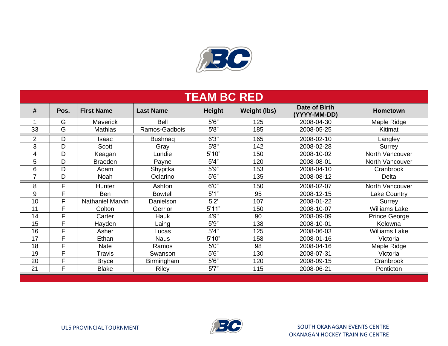

| <b>TEAM BC RED</b> |      |                         |                  |        |                     |                               |                      |  |  |
|--------------------|------|-------------------------|------------------|--------|---------------------|-------------------------------|----------------------|--|--|
| #                  | Pos. | <b>First Name</b>       | <b>Last Name</b> | Height | <b>Weight (lbs)</b> | Date of Birth<br>(YYYY-MM-DD) | <b>Hometown</b>      |  |  |
|                    | G    | <b>Maverick</b>         | <b>Bell</b>      | 5'6"   | 125                 | 2008-04-30                    | Maple Ridge          |  |  |
| 33                 | G    | <b>Mathias</b>          | Ramos-Gadbois    | 5'8"   | 185                 | 2008-05-25                    | Kitimat              |  |  |
| $\overline{2}$     | D    | Isaac                   | <b>Bushnaq</b>   | 6'3''  | 165                 | 2008-02-10                    | Langley              |  |  |
| 3                  | D    | <b>Scott</b>            | Gray             | 5'8''  | 142                 | 2008-02-28                    | Surrey               |  |  |
| 4                  | D    | Keagan                  | Lundie           | 5'10"  | 150                 | 2008-10-02                    | North Vancouver      |  |  |
| 5                  | D    | <b>Braeden</b>          | Payne            | 5'4''  | 120                 | 2008-08-01                    | North Vancouver      |  |  |
| 6                  | D    | Adam                    | Shypitka         | 5'9''  | 153                 | 2008-04-10                    | Cranbrook            |  |  |
| ⇁                  | D    | Noah                    | Oclarino         | 5'6''  | 135                 | 2008-08-12                    | Delta                |  |  |
| 8                  | F    | Hunter                  | Ashton           | 6'0''  | 150                 | 2008-02-07                    | North Vancouver      |  |  |
| 9                  | F    | Ben                     | <b>Bowtell</b>   | 5'1"   | 95                  | 2008-12-15                    | <b>Lake Country</b>  |  |  |
| 10                 | F    | <b>Nathaniel Marvin</b> | Danielson        | 5'2'   | 107                 | 2008-01-22                    | Surrey               |  |  |
| 11                 | F    | Colton                  | Gerrior          | 5'11"  | 150                 | 2008-10-07                    | <b>Williams Lake</b> |  |  |
| 14                 | F    | Carter                  | Hauk             | 4'9"   | 90                  | 2008-09-09                    | <b>Prince George</b> |  |  |
| 15                 | F    | Hayden                  | Laing            | 5'9''  | 138                 | 2008-10-01                    | Kelowna              |  |  |
| 16                 | F    | Asher                   | Lucas            | 5'4''  | 125                 | 2008-06-03                    | <b>Williams Lake</b> |  |  |
| 17                 | F    | Ethan                   | <b>Naus</b>      | 5'10"  | 158                 | 2008-01-16                    | Victoria             |  |  |
| 18                 | F    | <b>Nate</b>             | Ramos            | 5'0''  | 98                  | 2008-04-16                    | Maple Ridge          |  |  |
| 19                 | F    | Travis                  | Swanson          | 5'6''  | 130                 | 2008-07-31                    | Victoria             |  |  |
| 20                 | F    | <b>Bryce</b>            | Birmingham       | 5'6''  | 120                 | 2008-09-15                    | Cranbrook            |  |  |
| 21                 | F    | <b>Blake</b>            | Riley            | 5'7''  | 115                 | 2008-06-21                    | Penticton            |  |  |

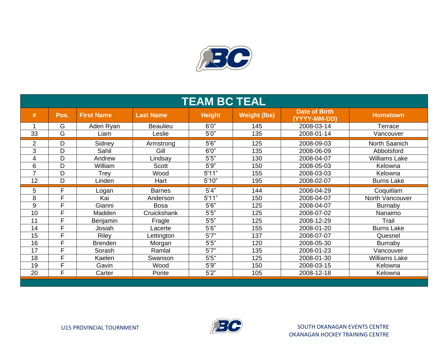

| <b>TEAM BC TEAL</b> |      |                   |                  |               |                     |                                      |                      |  |
|---------------------|------|-------------------|------------------|---------------|---------------------|--------------------------------------|----------------------|--|
| #                   | Pos. | <b>First Name</b> | <b>Last Name</b> | <b>Height</b> | <b>Weight (lbs)</b> | <b>Date of Birth</b><br>(YYYY-MM-DD) | <b>Hometown</b>      |  |
| 1                   | G    | Aden Ryan         | <b>Beaulieu</b>  | 6'0''         | 145                 | 2008-03-14                           | Terrace              |  |
| 33                  | G    | Liam              | Leslie           | 5'0''         | 135                 | 2008-01-14                           | Vancouver            |  |
| $\overline{2}$      | D    | Sidney            | Armstrong        | 5'6''         | 125                 | 2008-09-03                           | North Saanich        |  |
| 3                   | D    | Sahil             | Gill             | 6'0''         | 135                 | 2008-06-09                           | Abbotsford           |  |
| 4                   | D    | Andrew            | Lindsay          | 5'5"          | 130                 | 2008-04-07                           | <b>Williams Lake</b> |  |
| 6                   | D    | William           | <b>Scott</b>     | 5'9''         | 150                 | 2008-05-03                           | Kelowna              |  |
| $\overline{7}$      | D    | Trey              | Wood             | 5'11"         | 155                 | 2008-03-03                           | Kelowna              |  |
| 12                  | D    | Linden            | Hart             | 5'10"         | 195                 | 2008-02-07                           | <b>Burns Lake</b>    |  |
| 5                   | F    | Logan             | <b>Barnes</b>    | 5'4''         | 144                 | 2008-04-29                           | Coquitlam            |  |
| 8                   | F    | Kai               | Anderson         | 5'11"         | 150                 | 2008-04-07                           | North Vancouver      |  |
| 9                   | F    | Gianni            | <b>Bosa</b>      | 5'6''         | 125                 | 2008-04-07                           | <b>Burnaby</b>       |  |
| 10                  | F    | Madden            | Cruickshank      | 5'5"          | 125                 | 2008-07-02                           | Nanaimo              |  |
| 11                  | F    | Benjamin          | Fragle           | 5'5"          | 125                 | 2008-12-29                           | Trail                |  |
| 14                  | F    | Josiah            | Lacerte          | 5'6''         | 155                 | 2008-01-20                           | <b>Burns Lake</b>    |  |
| 15                  | F    | Riley             | Lettington       | 5'7''         | 137                 | 2008-07-07                           | Quesnel              |  |
| 16                  | F    | <b>Brenden</b>    | Morgan           | 5'5"          | 120                 | 2008-05-30                           | Burnaby              |  |
| 17                  | F    | Sorash            | Ramlal           | 5'7''         | 135                 | 2008-01-23                           | Vancouver            |  |
| 18                  | F    | Kaelen            | Swanson          | 5'5''         | 125                 | 2008-01-30                           | <b>Williams Lake</b> |  |
| 19                  | F    | Gavin             | Wood             | 5'9''         | 150                 | 2008-03-15                           | Kelowna              |  |
| 20                  | F    | Carter            | Ponte            | 5'2''         | 105                 | 2008-12-18                           | Kelowna              |  |

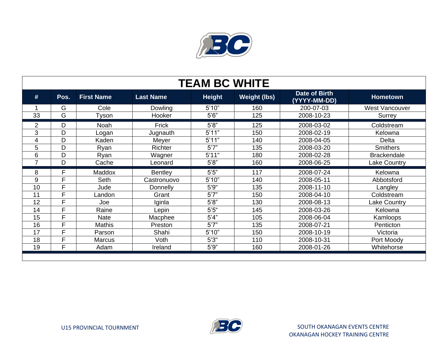

| <b>TEAM BC WHITE</b> |      |                   |                  |               |                     |                                      |                       |  |
|----------------------|------|-------------------|------------------|---------------|---------------------|--------------------------------------|-----------------------|--|
| #                    | Pos. | <b>First Name</b> | <b>Last Name</b> | <b>Height</b> | <b>Weight (lbs)</b> | <b>Date of Birth</b><br>(YYYY-MM-DD) | <b>Hometown</b>       |  |
|                      | G    | Cole              | Dowling          | 5'10"         | 160                 | 200-07-03                            | <b>West Vancouver</b> |  |
| 33                   | G    | Tyson             | Hooker           | 5'6''         | 125                 | 2008-10-23                           | Surrey                |  |
| $\overline{2}$       | D    | Noah              | Frick            | 5'8"          | 125                 | 2008-03-02                           | Coldstream            |  |
| 3                    | D    | Logan             | Jugnauth         | 5'11"         | 150                 | 2008-02-19                           | Kelowna               |  |
| 4                    | D    | Kaden             | Meyer            | 5'11"         | 140                 | 2008-04-05                           | Delta                 |  |
| 5                    | D    | Ryan              | Richter          | 5'7''         | 135                 | 2008-03-20                           | <b>Smithers</b>       |  |
| 6                    | D    | Ryan              | Wagner           | 5'11"         | 180                 | 2008-02-28                           | <b>Brackendale</b>    |  |
| $\overline{7}$       | D    | Cache             | Leonard          | 5'8"          | 160                 | 2008-06-25                           | <b>Lake Country</b>   |  |
| 8                    | E    | <b>Maddox</b>     | <b>Bentley</b>   | $5'5"$        | 117                 | 2008-07-24                           | Kelowna               |  |
|                      |      |                   |                  |               |                     |                                      |                       |  |
| 9                    | E    | Seth              | Castronuovo      | 5'10"         | 140                 | 2008-05-11                           | Abbotsford            |  |
| 10                   | E    | Jude              | Donnelly         | 5'9''         | 135                 | 2008-11-10                           | Langley               |  |
| 11                   | E    | Landon            | Grant            | 5'7''         | 150                 | 2008-04-10                           | Coldstream            |  |
| 12                   | E    | Joe               | Iginla           | 5'8"          | 130                 | 2008-08-13                           | Lake Country          |  |
| 14                   | E    | Raine             | Lepin            | 5'5''         | 145                 | 2008-03-26                           | Kelowna               |  |
| 15                   | E    | <b>Nate</b>       | Macphee          | 5'4''         | 105                 | 2008-06-04                           | Kamloops              |  |
| 16                   | E    | <b>Mathis</b>     | Preston          | 5'7''         | 135                 | 2008-07-21                           | Penticton             |  |
| 17                   | E    | Parson            | Shahi            | 5'10"         | 150                 | 2008-10-19                           | Victoria              |  |
| 18                   | E    | <b>Marcus</b>     | Voth             | 5'3''         | 110                 | 2008-10-31                           | Port Moody            |  |
| 19                   | E    | Adam              | Ireland          | 5'9''         | 160                 | 2008-01-26                           | Whitehorse            |  |